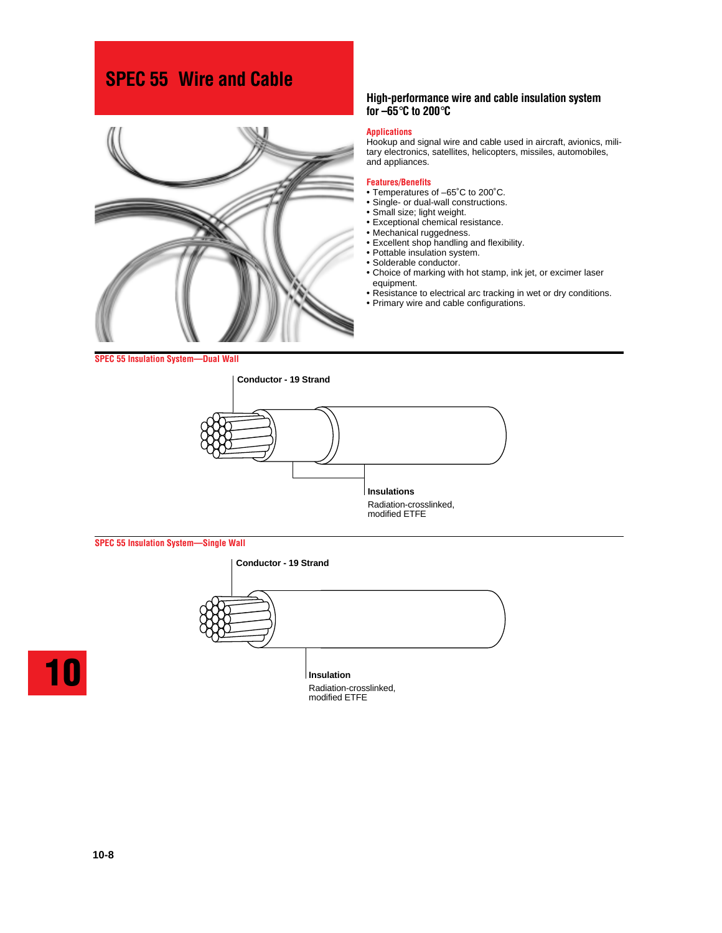# **SPEC 55 Wire and Cable**



# **High-performance wire and cable insulation system for –65**°**C to 200**°**C**

# **Applications**

Hookup and signal wire and cable used in aircraft, avionics, military electronics, satellites, helicopters, missiles, automobiles, and appliances.

#### **Features/Benefits**

- Temperatures of –65˚C to 200˚C.
- Single- or dual-wall constructions.
- Small size; light weight.
- Exceptional chemical resistance.
- Mechanical ruggedness.
- Excellent shop handling and flexibility.
- Pottable insulation system.
- Solderable conductor.
- Choice of marking with hot stamp, ink jet, or excimer laser equipment.
- Resistance to electrical arc tracking in wet or dry conditions.
- Primary wire and cable configurations.

**SPEC 55 Insulation System—Dual Wall**



#### **SPEC 55 Insulation System—Single Wall**





**Insulation** Radiation-crosslinked, modified ETFE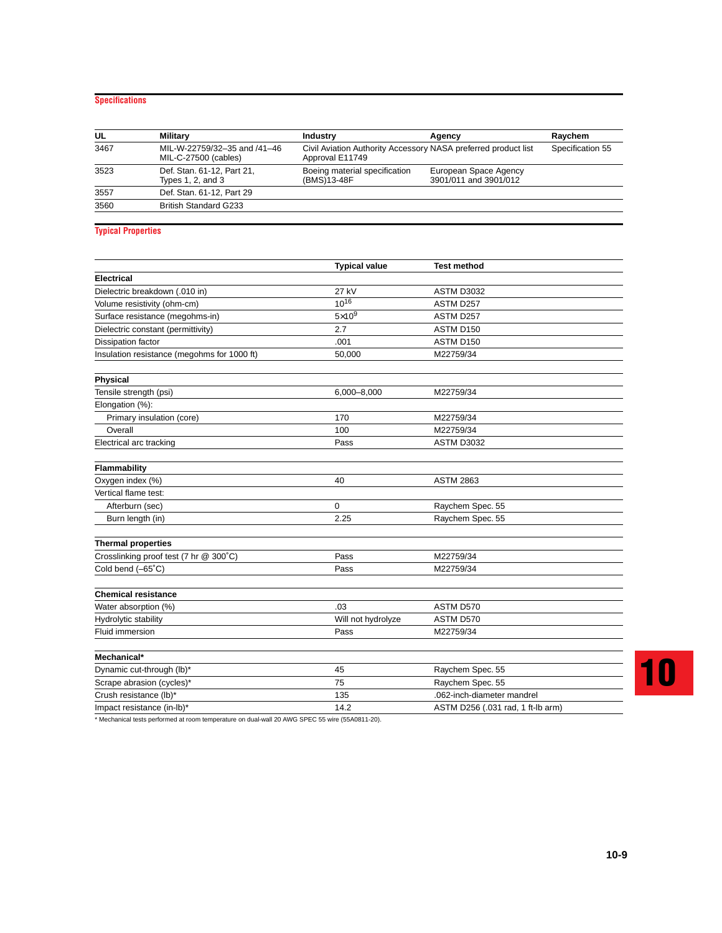# **Specifications**

| UL   | <b>Military</b>                                      | <b>Industry</b>                                                                   | Agency                                         | Raychem          |
|------|------------------------------------------------------|-----------------------------------------------------------------------------------|------------------------------------------------|------------------|
| 3467 | MIL-W-22759/32-35 and /41-46<br>MIL-C-27500 (cables) | Civil Aviation Authority Accessory NASA preferred product list<br>Approval E11749 |                                                | Specification 55 |
| 3523 | Def. Stan. 61-12, Part 21,<br>Types $1, 2$ , and $3$ | Boeing material specification<br>(BMS)13-48F                                      | European Space Agency<br>3901/011 and 3901/012 |                  |
| 3557 | Def. Stan. 61-12, Part 29                            |                                                                                   |                                                |                  |
| 3560 | <b>British Standard G233</b>                         |                                                                                   |                                                |                  |

# **Typical Properties**

|                                             | <b>Typical value</b> | <b>Test method</b>                |
|---------------------------------------------|----------------------|-----------------------------------|
| <b>Electrical</b>                           |                      |                                   |
| Dielectric breakdown (.010 in)              | 27 kV                | <b>ASTM D3032</b>                 |
| Volume resistivity (ohm-cm)                 | $10^{16}$            | ASTM D257                         |
| Surface resistance (megohms-in)             | $5\times10^{9}$      | ASTM D257                         |
| Dielectric constant (permittivity)          | 2.7                  | ASTM D150                         |
| Dissipation factor                          | .001                 | ASTM D150                         |
| Insulation resistance (megohms for 1000 ft) | 50,000               | M22759/34                         |
|                                             |                      |                                   |
| Physical                                    |                      |                                   |
| Tensile strength (psi)                      | 6,000-8,000          | M22759/34                         |
| Elongation (%):                             |                      |                                   |
| Primary insulation (core)                   | 170                  | M22759/34                         |
| Overall                                     | 100                  | M22759/34                         |
| Electrical arc tracking                     | Pass                 | <b>ASTM D3032</b>                 |
| Flammability                                |                      |                                   |
| Oxygen index (%)                            | 40                   | <b>ASTM 2863</b>                  |
| Vertical flame test:                        |                      |                                   |
| Afterburn (sec)                             | $\mathbf 0$          | Raychem Spec. 55                  |
| Burn length (in)                            | 2.25                 | Raychem Spec. 55                  |
|                                             |                      |                                   |
| <b>Thermal properties</b>                   |                      |                                   |
| Crosslinking proof test (7 hr @ 300°C)      | Pass                 | M22759/34                         |
| Cold bend (-65°C)                           | Pass                 | M22759/34                         |
| <b>Chemical resistance</b>                  |                      |                                   |
| Water absorption (%)                        | .03                  | ASTM D570                         |
| Hydrolytic stability                        | Will not hydrolyze   | ASTM D570                         |
| <b>Fluid immersion</b>                      | Pass                 | M22759/34                         |
|                                             |                      |                                   |
| Mechanical*                                 |                      |                                   |
| Dynamic cut-through (lb)*                   | 45                   | Raychem Spec. 55                  |
| Scrape abrasion (cycles)*                   | 75                   | Raychem Spec. 55                  |
| Crush resistance (lb)*                      | 135                  | .062-inch-diameter mandrel        |
| Impact resistance (in-lb)*                  | 14.2                 | ASTM D256 (.031 rad, 1 ft-lb arm) |

\* Mechanical tests performed at room temperature on dual-wall 20 AWG SPEC 55 wire (55A0811-20).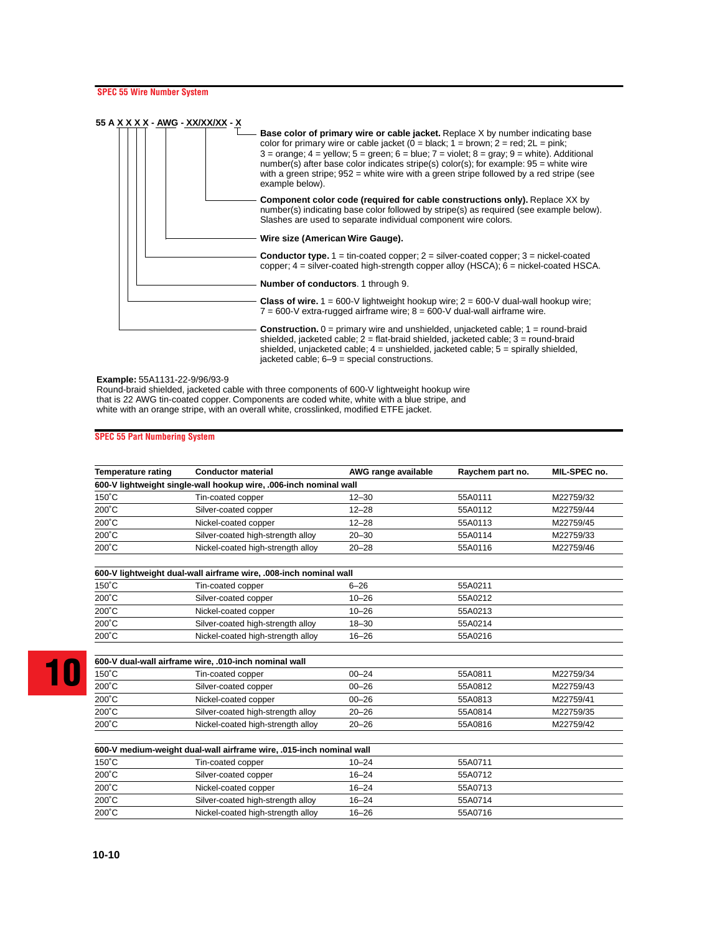

#### **Example:** 55A1131-22-9/96/93-9

Round-braid shielded, jacketed cable with three components of 600-V lightweight hookup wire that is 22 AWG tin-coated copper. Components are coded white, white with a blue stripe, and white with an orange stripe, with an overall white, crosslinked, modified ETFE jacket.

#### **SPEC 55 Part Numbering System**

| <b>Temperature rating</b>                            | <b>Conductor material</b>                                           | AWG range available | Raychem part no. | MIL-SPEC no. |  |
|------------------------------------------------------|---------------------------------------------------------------------|---------------------|------------------|--------------|--|
|                                                      | 600-V lightweight single-wall hookup wire, .006-inch nominal wall   |                     |                  |              |  |
| $150^{\circ}$ C                                      | Tin-coated copper                                                   | $12 - 30$           | 55A0111          | M22759/32    |  |
| 200°C                                                | Silver-coated copper                                                | $12 - 28$           | 55A0112          | M22759/44    |  |
| $200^{\circ}$ C                                      | Nickel-coated copper                                                | $12 - 28$           | 55A0113          | M22759/45    |  |
| 200°C                                                | Silver-coated high-strength alloy                                   | $20 - 30$           | 55A0114          | M22759/33    |  |
| 200°C                                                | Nickel-coated high-strength alloy                                   | $20 - 28$           | 55A0116          | M22759/46    |  |
|                                                      |                                                                     |                     |                  |              |  |
|                                                      | 600-V lightweight dual-wall airframe wire, .008-inch nominal wall   |                     |                  |              |  |
| $150^{\circ}$ C                                      | Tin-coated copper                                                   | $6 - 26$            | 55A0211          |              |  |
| 200°C                                                | Silver-coated copper                                                | $10 - 26$           | 55A0212          |              |  |
| 200°C                                                | Nickel-coated copper                                                | $10 - 26$           | 55A0213          |              |  |
| 200°C                                                | Silver-coated high-strength alloy                                   | $18 - 30$           | 55A0214          |              |  |
| $200^{\circ}$ C<br>Nickel-coated high-strength alloy |                                                                     | $16 - 26$           | 55A0216          |              |  |
|                                                      |                                                                     |                     |                  |              |  |
|                                                      | 600-V dual-wall airframe wire, .010-inch nominal wall               |                     |                  |              |  |
| $150^{\circ}$ C                                      | Tin-coated copper                                                   | $00 - 24$           | 55A0811          | M22759/34    |  |
| 200°C                                                | Silver-coated copper                                                | $00 - 26$           | 55A0812          | M22759/43    |  |
| 200°C                                                | Nickel-coated copper                                                | $00 - 26$           | 55A0813          | M22759/41    |  |
| 200°C                                                | Silver-coated high-strength alloy                                   | $20 - 26$           | 55A0814          | M22759/35    |  |
| 200°C                                                | Nickel-coated high-strength alloy                                   | $20 - 26$           | 55A0816          | M22759/42    |  |
|                                                      |                                                                     |                     |                  |              |  |
|                                                      | 600-V medium-weight dual-wall airframe wire, .015-inch nominal wall |                     |                  |              |  |
| $150^{\circ}$ C                                      | Tin-coated copper                                                   | $10 - 24$           | 55A0711          |              |  |
| $200^{\circ}$ C                                      | Silver-coated copper                                                | $16 - 24$           | 55A0712          |              |  |
| $200^{\circ}$ C                                      | Nickel-coated copper                                                | $16 - 24$           | 55A0713          |              |  |
| $200^{\circ}$ C                                      | Silver-coated high-strength alloy                                   | $16 - 24$           | 55A0714          |              |  |
| 200°C                                                | Nickel-coated high-strength alloy                                   | $16 - 26$           | 55A0716          |              |  |
|                                                      |                                                                     |                     |                  |              |  |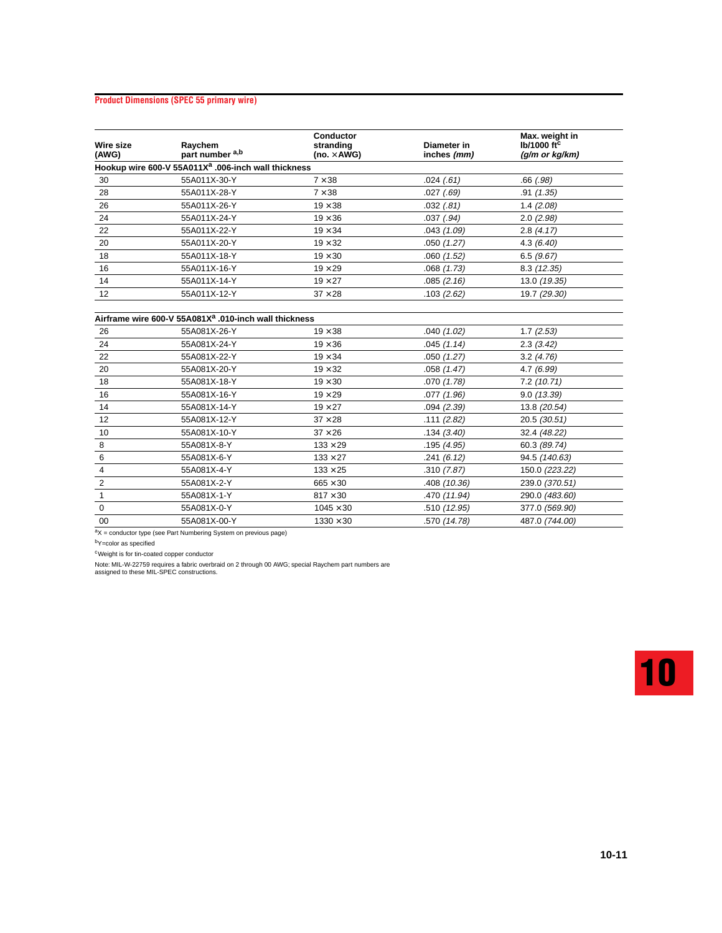# **Product Dimensions (SPEC 55 primary wire)**

| Wire size<br>(AWG) | Raychem<br>part number <sup>a,b</sup>                           | Conductor<br>stranding<br>(no. $\times$ AWG) | Diameter in<br>inches (mm) | Max. weight in<br>$Ib/1000$ ft <sup>c</sup><br>(g/m or kg/km) |
|--------------------|-----------------------------------------------------------------|----------------------------------------------|----------------------------|---------------------------------------------------------------|
|                    | Hookup wire 600-V 55A011X <sup>a</sup> .006-inch wall thickness |                                              |                            |                                                               |
| 30                 | 55A011X-30-Y                                                    | $7 \times 38$                                | .024(61)                   | $.66$ $(.98)$                                                 |
| 28                 | 55A011X-28-Y                                                    | $7 \times 38$                                | .027(.69)                  | .91(1.35)                                                     |
| 26                 | 55A011X-26-Y                                                    | $19 \times 38$                               | .032(.81)                  | 1.4(2.08)                                                     |
| 24                 | 55A011X-24-Y                                                    | $19 \times 36$                               | $.037$ $(.94)$             | 2.0(2.98)                                                     |
| 22                 | 55A011X-22-Y                                                    | $19 \times 34$                               | .043(1.09)                 | 2.8(4.17)                                                     |
| 20                 | 55A011X-20-Y                                                    | $19 \times 32$                               | .050(1.27)                 | 4.3(6.40)                                                     |
| 18                 | 55A011X-18-Y                                                    | $19 \times 30$                               | .060(1.52)                 | 6.5(9.67)                                                     |
| 16                 | 55A011X-16-Y                                                    | $19 \times 29$                               | .068(1.73)                 | 8.3(12.35)                                                    |
| 14                 | 55A011X-14-Y                                                    | $19 \times 27$                               | .085(2.16)                 | 13.0 (19.35)                                                  |
| 12                 | 55A011X-12-Y                                                    | $37 \times 28$                               | .103(2.62)                 | 19.7 (29.30)                                                  |

# **Airframe wire 600-V 55A081Xa .010-inch wall thickness**

| 26          | 55A081X-26-Y | $19 \times 38$   | .040(1.02)   | 1.7(2.53)      |  |
|-------------|--------------|------------------|--------------|----------------|--|
| 24          | 55A081X-24-Y | $19 \times 36$   | .045(1.14)   | 2.3(3.42)      |  |
| 22          | 55A081X-22-Y | $19 \times 34$   | .050(1.27)   | 3.2(4.76)      |  |
| 20          | 55A081X-20-Y | $19 \times 32$   | .058(1.47)   | 4.7(6.99)      |  |
| 18          | 55A081X-18-Y | $19 \times 30$   | .070(1.78)   | 7.2(10.71)     |  |
| 16          | 55A081X-16-Y | $19 \times 29$   | .077(1.96)   | 9.0(13.39)     |  |
| 14          | 55A081X-14-Y | $19 \times 27$   | .094(2.39)   | 13.8 (20.54)   |  |
| 12          | 55A081X-12-Y | $37 \times 28$   | .111(2.82)   | 20.5(30.51)    |  |
| 10          | 55A081X-10-Y | $37 \times 26$   | .134(3.40)   | 32.4 (48.22)   |  |
| 8           | 55A081X-8-Y  | $133 \times 29$  | .195(4.95)   | 60.3 (89.74)   |  |
| 6           | 55A081X-6-Y  | $133 \times 27$  | .241(6.12)   | 94.5 (140.63)  |  |
| 4           | 55A081X-4-Y  | $133 \times 25$  | .310(7.87)   | 150.0 (223.22) |  |
| 2           | 55A081X-2-Y  | $665 \times 30$  | .408(10.36)  | 239.0 (370.51) |  |
|             | 55A081X-1-Y  | $817 \times 30$  | .470 (11.94) | 290.0 (483.60) |  |
| $\mathbf 0$ | 55A081X-0-Y  | $1045 \times 30$ | .510 (12.95) | 377.0 (569.90) |  |
| 00          | 55A081X-00-Y | $1330 \times 30$ | .570 (14.78) | 487.0 (744.00) |  |
|             |              |                  |              |                |  |

 $aX =$  conductor type (see Part Numbering System on previous page)

bY=color as specified

cWeight is for tin-coated copper conductor

Note: MIL-W-22759 requires a fabric overbraid on 2 through 00 AWG; special Raychem part numbers are assigned to these MIL-SPEC constructions.